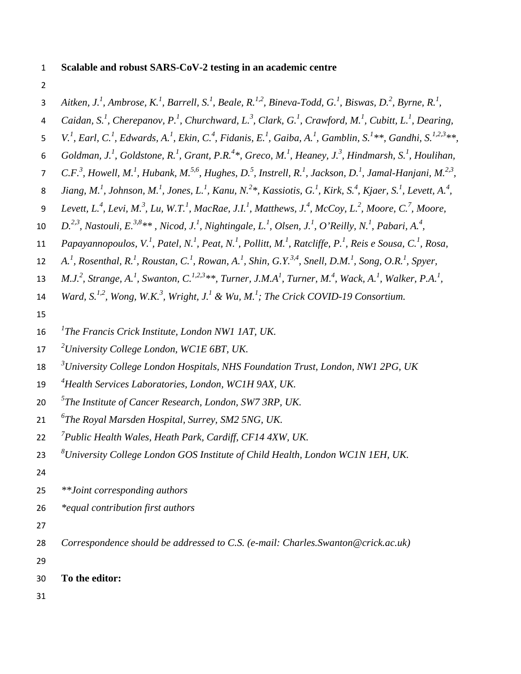## 1 **Scalable and robust SARS-CoV-2 testing in an academic centre**

2

|  | Aitken, J. <sup>1</sup> , Ambrose, K. <sup>1</sup> , Barrell, S. <sup>1</sup> , Beale, R. <sup>1,2</sup> , Bineva-Todd, G. <sup>1</sup> , Biswas, D. <sup>2</sup> , Byrne, R. <sup>1</sup> , |  |  |  |  |  |  |
|--|----------------------------------------------------------------------------------------------------------------------------------------------------------------------------------------------|--|--|--|--|--|--|
|--|----------------------------------------------------------------------------------------------------------------------------------------------------------------------------------------------|--|--|--|--|--|--|

- 4 *Caidan, S.<sup>1</sup>, Cherepanov, P.<sup>1</sup>, Churchward, L.<sup>3</sup>, Clark, G.<sup>1</sup>, Crawford, M.<sup>1</sup>, Cubitt, L.<sup>1</sup>, Dearing,*
- 5 V.<sup>1</sup>, Earl, C.<sup>1</sup>, Edwards, A.<sup>1</sup>, Ekin, C.<sup>4</sup>, Fidanis, E.<sup>1</sup>, Gaiba, A.<sup>1</sup>, Gamblin, S.<sup>1</sup>\*\*, Gandhi, S.<sup>1,2,3</sup>\*\*,
- 6 Goldman, J.<sup>1</sup>, Goldstone, R.<sup>1</sup>, Grant, P.R.<sup>4</sup>\*, Greco, M.<sup>1</sup>, Heaney, J.<sup>3</sup>, Hindmarsh, S.<sup>1</sup>, Houlihan,
- 7 C.F.<sup>3</sup>, Howell, M.<sup>1</sup>, Hubank, M.<sup>5,6</sup>, Hughes, D.<sup>5</sup>, Instrell, R.<sup>1</sup>, Jackson, D.<sup>1</sup>, Jamal-Hanjani, M.<sup>2,3</sup>,
- 8 *Jiang, M.<sup>1</sup>, Johnson, M.<sup>1</sup>, Jones, L.<sup>1</sup>, Kanu, N.<sup>2\*</sup>, Kassiotis, G.<sup>1</sup>, Kirk, S.<sup>4</sup>, Kjaer, S.<sup>1</sup>, Levett, A.<sup>4</sup>,*
- 9 *Levett, L.<sup>4</sup>, Levi, M.<sup>3</sup>, Lu, W.T.<sup>1</sup>, MacRae, J.I.<sup>1</sup>, Matthews, J.<sup>4</sup>, McCoy, L.<sup>2</sup>, Moore, C.<sup>7</sup>, Moore,*
- 10 *D.*<sup>2,3</sup>, Nastouli, E.<sup>3,8</sup>\*\*, Nicod, J.<sup>1</sup>, Nightingale, L.<sup>1</sup>, Olsen, J.<sup>1</sup>, O'Reilly, N.<sup>1</sup>, Pabari, A.<sup>4</sup>,
- 11 *Papayannopoulos, V.<sup>1</sup>, Patel, N.<sup>1</sup>, Peat, N.<sup>1</sup>, Pollitt, M.<sup>1</sup>, Ratcliffe, P.<sup>1</sup>, Reis e Sousa, C.<sup>1</sup>, Rosa,*
- 12 *A.<sup>1</sup>*, *Rosenthal, R.<sup>1</sup>, Roustan, C.<sup>1</sup>, Rowan, A.<sup>1</sup>, Shin, G.Y.<sup>3,4</sup>, Snell, D.M.<sup>1</sup>, Song, O.R.<sup>1</sup>, Spyer,*
- **13** *M.J.*<sup>2</sup>, Strange, A.<sup>1</sup>, Swanton, C.<sup>1,2,3</sup>\*\*, Turner, J.M.A<sup>1</sup>, Turner, M.<sup>4</sup>, Wack, A.<sup>1</sup>, Walker, P.A.<sup>1</sup>,
- 14 *Ward, S.<sup>1,2</sup>, Wong, W.K.<sup>3</sup>, Wright, J.<sup>1</sup> & Wu, M.<sup>1</sup>; The Crick COVID-19 Consortium.*
- 15
- *<sup>1</sup>* 16 *The Francis Crick Institute, London NW1 1AT, UK.*
- *<sup>2</sup>* 17 *University College London, WC1E 6BT, UK.*
- *<sup>3</sup>* 18 *University College London Hospitals, NHS Foundation Trust, London, NW1 2PG, UK*
- *<sup>4</sup>* 19 *Health Services Laboratories, London, WC1H 9AX, UK.*
- *<sup>5</sup>* 20 *The Institute of Cancer Research, London, SW7 3RP, UK.*
- *<sup>6</sup>* 21 *The Royal Marsden Hospital, Surrey, SM2 5NG, UK.*
- *<sup>7</sup>* 22 *Public Health Wales, Heath Park, Cardiff, CF14 4XW, UK.*
- *<sup>8</sup>* 23 *University College London GOS Institute of Child Health, London WC1N 1EH, UK.*
- 24
- 25 *\*\*Joint corresponding authors*
- 26 *\*equal contribution first authors*
- 27
- 28 *Correspondence should be addressed to C.S. (e-mail: Charles.Swanton@crick.ac.uk)*
- 29
- 30 **To the editor:**
- 31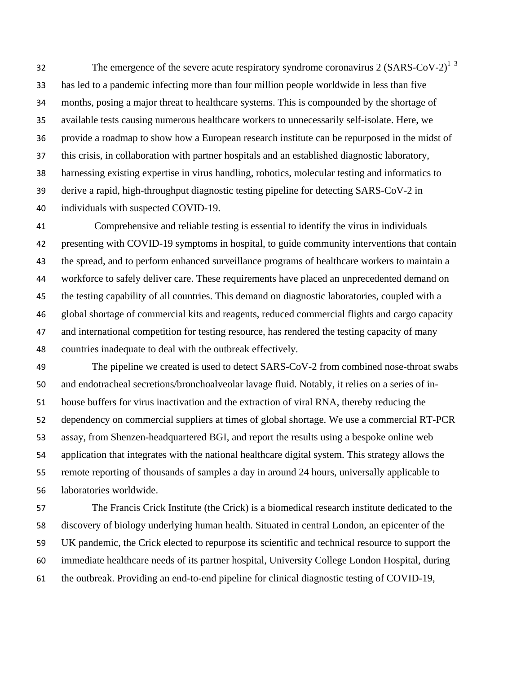The emergence of the severe acute respiratory syndrome coronavirus 2  $(SARS-CoV-2)^{1-3}$ has led to a pandemic infecting more than four million people worldwide in less than five months, posing a major threat to healthcare systems. This is compounded by the shortage of available tests causing numerous healthcare workers to unnecessarily self-isolate. Here, we provide a roadmap to show how a European research institute can be repurposed in the midst of this crisis, in collaboration with partner hospitals and an established diagnostic laboratory, harnessing existing expertise in virus handling, robotics, molecular testing and informatics to derive a rapid, high-throughput diagnostic testing pipeline for detecting SARS-CoV-2 in individuals with suspected COVID-19.

Comprehensive and reliable testing is essential to identify the virus in individuals presenting with COVID-19 symptoms in hospital, to guide community interventions that contain the spread, and to perform enhanced surveillance programs of healthcare workers to maintain a workforce to safely deliver care. These requirements have placed an unprecedented demand on the testing capability of all countries. This demand on diagnostic laboratories, coupled with a global shortage of commercial kits and reagents, reduced commercial flights and cargo capacity and international competition for testing resource, has rendered the testing capacity of many countries inadequate to deal with the outbreak effectively.

The pipeline we created is used to detect SARS-CoV-2 from combined nose-throat swabs and endotracheal secretions/bronchoalveolar lavage fluid. Notably, it relies on a series of in-house buffers for virus inactivation and the extraction of viral RNA, thereby reducing the dependency on commercial suppliers at times of global shortage. We use a commercial RT-PCR assay, from Shenzen-headquartered BGI, and report the results using a bespoke online web application that integrates with the national healthcare digital system. This strategy allows the remote reporting of thousands of samples a day in around 24 hours, universally applicable to laboratories worldwide.

The Francis Crick Institute (the Crick) is a biomedical research institute dedicated to the discovery of biology underlying human health. Situated in central London, an epicenter of the UK pandemic, the Crick elected to repurpose its scientific and technical resource to support the immediate healthcare needs of its partner hospital, University College London Hospital, during the outbreak. Providing an end-to-end pipeline for clinical diagnostic testing of COVID-19,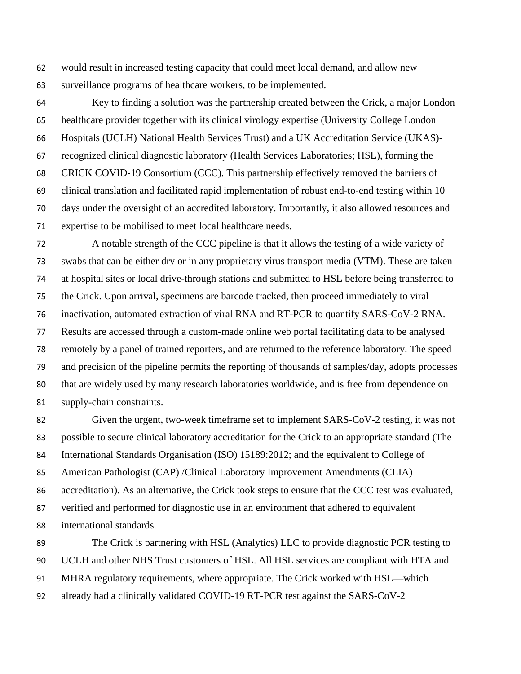would result in increased testing capacity that could meet local demand, and allow new surveillance programs of healthcare workers, to be implemented.

Key to finding a solution was the partnership created between the Crick, a major London healthcare provider together with its clinical virology expertise (University College London Hospitals (UCLH) National Health Services Trust) and a UK Accreditation Service (UKAS)- recognized clinical diagnostic laboratory (Health Services Laboratories; HSL), forming the CRICK COVID-19 Consortium (CCC). This partnership effectively removed the barriers of clinical translation and facilitated rapid implementation of robust end-to-end testing within 10 days under the oversight of an accredited laboratory. Importantly, it also allowed resources and expertise to be mobilised to meet local healthcare needs.

A notable strength of the CCC pipeline is that it allows the testing of a wide variety of swabs that can be either dry or in any proprietary virus transport media (VTM). These are taken at hospital sites or local drive-through stations and submitted to HSL before being transferred to the Crick. Upon arrival, specimens are barcode tracked, then proceed immediately to viral inactivation, automated extraction of viral RNA and RT-PCR to quantify SARS-CoV-2 RNA. Results are accessed through a custom-made online web portal facilitating data to be analysed remotely by a panel of trained reporters, and are returned to the reference laboratory. The speed and precision of the pipeline permits the reporting of thousands of samples/day, adopts processes that are widely used by many research laboratories worldwide, and is free from dependence on supply-chain constraints.

Given the urgent, two-week timeframe set to implement SARS-CoV-2 testing, it was not possible to secure clinical laboratory accreditation for the Crick to an appropriate standard (The International Standards Organisation (ISO) 15189:2012; and the equivalent to College of American Pathologist (CAP) /Clinical Laboratory Improvement Amendments (CLIA) accreditation). As an alternative, the Crick took steps to ensure that the CCC test was evaluated, verified and performed for diagnostic use in an environment that adhered to equivalent international standards.

The Crick is partnering with HSL (Analytics) LLC to provide diagnostic PCR testing to UCLH and other NHS Trust customers of HSL. All HSL services are compliant with HTA and MHRA regulatory requirements, where appropriate. The Crick worked with HSL—which already had a clinically validated COVID-19 RT-PCR test against the SARS-CoV-2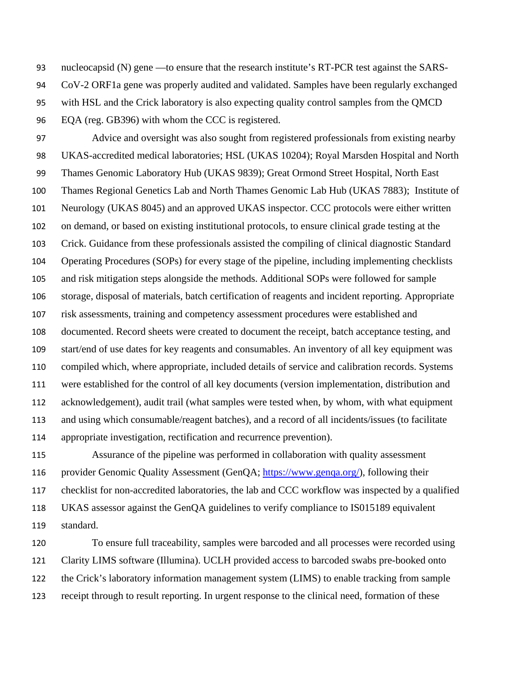nucleocapsid (N) gene —to ensure that the research institute's RT-PCR test against the SARS-

- CoV-2 ORF1a gene was properly audited and validated. Samples have been regularly exchanged
- with HSL and the Crick laboratory is also expecting quality control samples from the QMCD
- EQA (reg. GB396) with whom the CCC is registered.

Advice and oversight was also sought from registered professionals from existing nearby UKAS-accredited medical laboratories; HSL (UKAS 10204); Royal Marsden Hospital and North Thames Genomic Laboratory Hub (UKAS 9839); Great Ormond Street Hospital, North East Thames Regional Genetics Lab and North Thames Genomic Lab Hub (UKAS 7883); Institute of Neurology (UKAS 8045) and an approved UKAS inspector. CCC protocols were either written on demand, or based on existing institutional protocols, to ensure clinical grade testing at the Crick. Guidance from these professionals assisted the compiling of clinical diagnostic Standard Operating Procedures (SOPs) for every stage of the pipeline, including implementing checklists and risk mitigation steps alongside the methods. Additional SOPs were followed for sample storage, disposal of materials, batch certification of reagents and incident reporting. Appropriate risk assessments, training and competency assessment procedures were established and documented. Record sheets were created to document the receipt, batch acceptance testing, and start/end of use dates for key reagents and consumables. An inventory of all key equipment was compiled which, where appropriate, included details of service and calibration records. Systems were established for the control of all key documents (version implementation, distribution and acknowledgement), audit trail (what samples were tested when, by whom, with what equipment and using which consumable/reagent batches), and a record of all incidents/issues (to facilitate appropriate investigation, rectification and recurrence prevention).

Assurance of the pipeline was performed in collaboration with quality assessment 116 provider Genomic Quality Assessment (GenQA; https://www.genqa.org/), following their checklist for non-accredited laboratories, the lab and CCC workflow was inspected by a qualified UKAS assessor against the GenQA guidelines to verify compliance to IS015189 equivalent standard.

To ensure full traceability, samples were barcoded and all processes were recorded using Clarity LIMS software (Illumina). UCLH provided access to barcoded swabs pre-booked onto the Crick's laboratory information management system (LIMS) to enable tracking from sample receipt through to result reporting. In urgent response to the clinical need, formation of these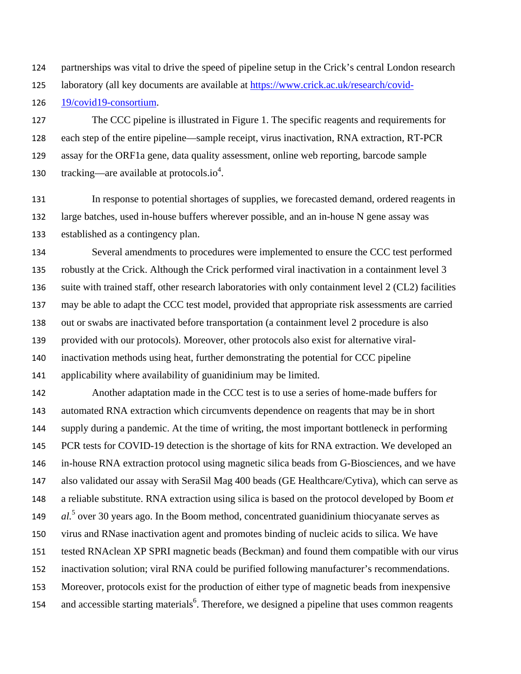partnerships was vital to drive the speed of pipeline setup in the Crick's central London research

laboratory (all key documents are available at https://www.crick.ac.uk/research/covid-

19/covid19-consortium.

The CCC pipeline is illustrated in Figure 1. The specific reagents and requirements for each step of the entire pipeline—sample receipt, virus inactivation, RNA extraction, RT-PCR assay for the ORF1a gene, data quality assessment, online web reporting, barcode sample 130 tracking—are available at protocols.io<sup>4</sup>.

In response to potential shortages of supplies, we forecasted demand, ordered reagents in large batches, used in-house buffers wherever possible, and an in-house N gene assay was established as a contingency plan.

Several amendments to procedures were implemented to ensure the CCC test performed robustly at the Crick. Although the Crick performed viral inactivation in a containment level 3 suite with trained staff, other research laboratories with only containment level 2 (CL2) facilities may be able to adapt the CCC test model, provided that appropriate risk assessments are carried out or swabs are inactivated before transportation (a containment level 2 procedure is also provided with our protocols). Moreover, other protocols also exist for alternative viral-inactivation methods using heat, further demonstrating the potential for CCC pipeline applicability where availability of guanidinium may be limited.

Another adaptation made in the CCC test is to use a series of home-made buffers for automated RNA extraction which circumvents dependence on reagents that may be in short supply during a pandemic. At the time of writing, the most important bottleneck in performing PCR tests for COVID-19 detection is the shortage of kits for RNA extraction. We developed an in-house RNA extraction protocol using magnetic silica beads from G-Biosciences, and we have also validated our assay with SeraSil Mag 400 beads (GE Healthcare/Cytiva), which can serve as a reliable substitute. RNA extraction using silica is based on the protocol developed by Boom *et al.*<sup>5</sup> over 30 years ago. In the Boom method, concentrated guanidinium thiocyanate serves as virus and RNase inactivation agent and promotes binding of nucleic acids to silica. We have tested RNAclean XP SPRI magnetic beads (Beckman) and found them compatible with our virus inactivation solution; viral RNA could be purified following manufacturer's recommendations. Moreover, protocols exist for the production of either type of magnetic beads from inexpensive and accessible starting materials<sup>6</sup>. Therefore, we designed a pipeline that uses common reagents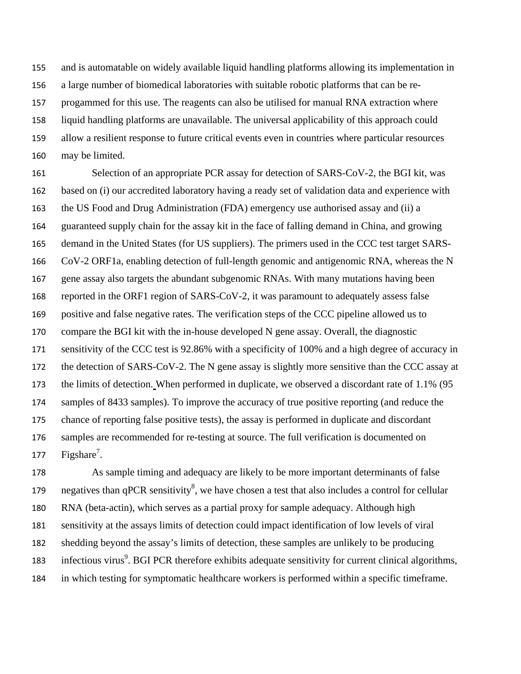and is automatable on widely available liquid handling platforms allowing its implementation in a large number of biomedical laboratories with suitable robotic platforms that can be re-progammed for this use. The reagents can also be utilised for manual RNA extraction where liquid handling platforms are unavailable. The universal applicability of this approach could allow a resilient response to future critical events even in countries where particular resources may be limited.

161 Selection of an appropriate PCR assay for detection of SARS-CoV-2, the BGI kit, was based on (i) our accredited laboratory having a ready set of validation data and experience with the US Food and Drug Administration (FDA) emergency use authorised assay and (ii) a guaranteed supply chain for the assay kit in the face of falling demand in China, and growing demand in the United States (for US suppliers). The primers used in the CCC test target SARS-CoV-2 ORF1a, enabling detection of full-length genomic and antigenomic RNA, whereas the N gene assay also targets the abundant subgenomic RNAs. With many mutations having been reported in the ORF1 region of SARS-CoV-2, it was paramount to adequately assess false positive and false negative rates. The verification steps of the CCC pipeline allowed us to compare the BGI kit with the in-house developed N gene assay. Overall, the diagnostic sensitivity of the CCC test is 92.86% with a specificity of 100% and a high degree of accuracy in the detection of SARS-CoV-2. The N gene assay is slightly more sensitive than the CCC assay at the limits of detection. When performed in duplicate, we observed a discordant rate of 1.1% (95 samples of 8433 samples). To improve the accuracy of true positive reporting (and reduce the chance of reporting false positive tests), the assay is performed in duplicate and discordant samples are recommended for re-testing at source. The full verification is documented on  $Figshare<sup>7</sup>$ .

As sample timing and adequacy are likely to be more important determinants of false negatives than qPCR sensitivity<sup>8</sup>, we have chosen a test that also includes a control for cellular RNA (beta-actin), which serves as a partial proxy for sample adequacy. Although high sensitivity at the assays limits of detection could impact identification of low levels of viral shedding beyond the assay's limits of detection, these samples are unlikely to be producing 183 infectious virus<sup>9</sup>. BGI PCR therefore exhibits adequate sensitivity for current clinical algorithms, in which testing for symptomatic healthcare workers is performed within a specific timeframe.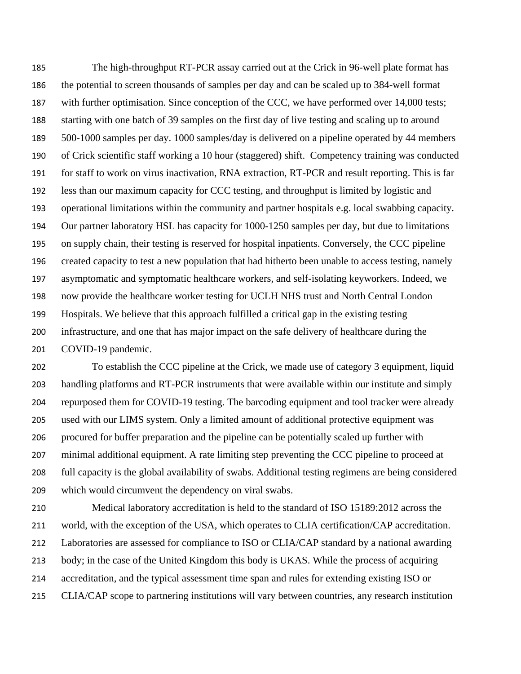The high-throughput RT-PCR assay carried out at the Crick in 96-well plate format has the potential to screen thousands of samples per day and can be scaled up to 384-well format 187 with further optimisation. Since conception of the CCC, we have performed over 14,000 tests; starting with one batch of 39 samples on the first day of live testing and scaling up to around 500-1000 samples per day. 1000 samples/day is delivered on a pipeline operated by 44 members of Crick scientific staff working a 10 hour (staggered) shift. Competency training was conducted for staff to work on virus inactivation, RNA extraction, RT-PCR and result reporting. This is far less than our maximum capacity for CCC testing, and throughput is limited by logistic and operational limitations within the community and partner hospitals e.g. local swabbing capacity. Our partner laboratory HSL has capacity for 1000-1250 samples per day, but due to limitations on supply chain, their testing is reserved for hospital inpatients. Conversely, the CCC pipeline created capacity to test a new population that had hitherto been unable to access testing, namely asymptomatic and symptomatic healthcare workers, and self-isolating keyworkers. Indeed, we now provide the healthcare worker testing for UCLH NHS trust and North Central London Hospitals. We believe that this approach fulfilled a critical gap in the existing testing infrastructure, and one that has major impact on the safe delivery of healthcare during the COVID-19 pandemic.

To establish the CCC pipeline at the Crick, we made use of category 3 equipment, liquid handling platforms and RT-PCR instruments that were available within our institute and simply repurposed them for COVID-19 testing. The barcoding equipment and tool tracker were already used with our LIMS system. Only a limited amount of additional protective equipment was procured for buffer preparation and the pipeline can be potentially scaled up further with minimal additional equipment. A rate limiting step preventing the CCC pipeline to proceed at full capacity is the global availability of swabs. Additional testing regimens are being considered which would circumvent the dependency on viral swabs.

Medical laboratory accreditation is held to the standard of ISO 15189:2012 across the world, with the exception of the USA, which operates to CLIA certification/CAP accreditation. Laboratories are assessed for compliance to ISO or CLIA/CAP standard by a national awarding body; in the case of the United Kingdom this body is UKAS. While the process of acquiring accreditation, and the typical assessment time span and rules for extending existing ISO or CLIA/CAP scope to partnering institutions will vary between countries, any research institution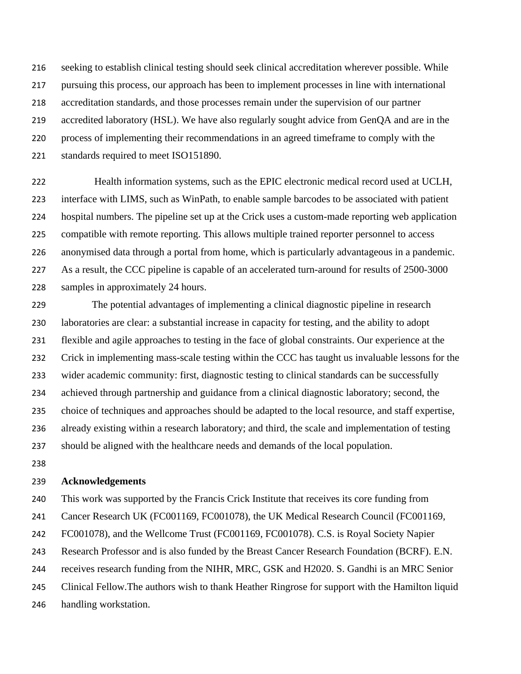seeking to establish clinical testing should seek clinical accreditation wherever possible. While pursuing this process, our approach has been to implement processes in line with international accreditation standards, and those processes remain under the supervision of our partner accredited laboratory (HSL). We have also regularly sought advice from GenQA and are in the process of implementing their recommendations in an agreed timeframe to comply with the standards required to meet ISO151890.

Health information systems, such as the EPIC electronic medical record used at UCLH, interface with LIMS, such as WinPath, to enable sample barcodes to be associated with patient hospital numbers. The pipeline set up at the Crick uses a custom-made reporting web application compatible with remote reporting. This allows multiple trained reporter personnel to access anonymised data through a portal from home, which is particularly advantageous in a pandemic. As a result, the CCC pipeline is capable of an accelerated turn-around for results of 2500-3000 samples in approximately 24 hours.

The potential advantages of implementing a clinical diagnostic pipeline in research laboratories are clear: a substantial increase in capacity for testing, and the ability to adopt flexible and agile approaches to testing in the face of global constraints. Our experience at the Crick in implementing mass-scale testing within the CCC has taught us invaluable lessons for the wider academic community: first, diagnostic testing to clinical standards can be successfully achieved through partnership and guidance from a clinical diagnostic laboratory; second, the choice of techniques and approaches should be adapted to the local resource, and staff expertise, already existing within a research laboratory; and third, the scale and implementation of testing should be aligned with the healthcare needs and demands of the local population.

## **Acknowledgements**

This work was supported by the Francis Crick Institute that receives its core funding from Cancer Research UK (FC001169, FC001078), the UK Medical Research Council (FC001169, FC001078), and the Wellcome Trust (FC001169, FC001078). C.S. is Royal Society Napier Research Professor and is also funded by the Breast Cancer Research Foundation (BCRF). E.N. receives research funding from the NIHR, MRC, GSK and H2020. S. Gandhi is an MRC Senior Clinical Fellow.The authors wish to thank Heather Ringrose for support with the Hamilton liquid handling workstation.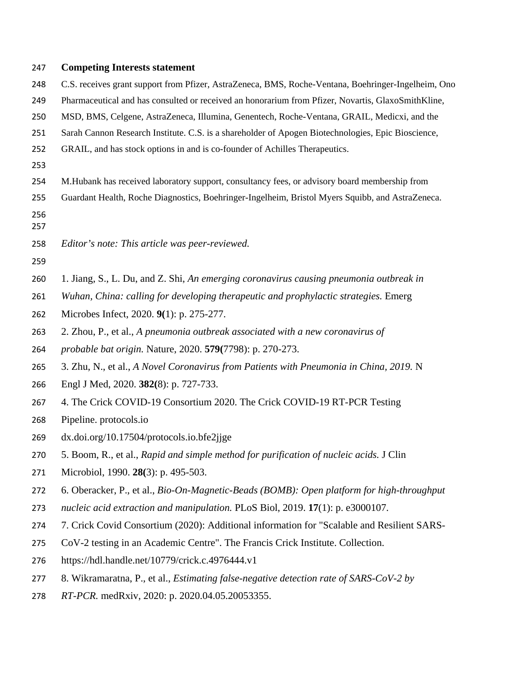## **Competing Interests statement**

- C.S. receives grant support from Pfizer, AstraZeneca, BMS, Roche-Ventana, Boehringer-Ingelheim, Ono
- Pharmaceutical and has consulted or received an honorarium from Pfizer, Novartis, GlaxoSmithKline,
- MSD, BMS, Celgene, AstraZeneca, Illumina, Genentech, Roche-Ventana, GRAIL, Medicxi, and the
- Sarah Cannon Research Institute. C.S. is a shareholder of Apogen Biotechnologies, Epic Bioscience,
- GRAIL, and has stock options in and is co-founder of Achilles Therapeutics.
- 
- M.Hubank has received laboratory support, consultancy fees, or advisory board membership from
- Guardant Health, Roche Diagnostics, Boehringer-Ingelheim, Bristol Myers Squibb, and AstraZeneca.
- 
- *Editor's note: This article was peer-reviewed.*
- 
- 1. Jiang, S., L. Du, and Z. Shi, *An emerging coronavirus causing pneumonia outbreak in*
- *Wuhan, China: calling for developing therapeutic and prophylactic strategies.* Emerg
- Microbes Infect, 2020. **9(**1): p. 275-277.
- 2. Zhou, P., et al., *A pneumonia outbreak associated with a new coronavirus of*
- *probable bat origin.* Nature, 2020. **579(**7798): p. 270-273.
- 3. Zhu, N., et al., *A Novel Coronavirus from Patients with Pneumonia in China, 2019.* N
- Engl J Med, 2020. **382(**8): p. 727-733.
- 4. The Crick COVID-19 Consortium 2020. The Crick COVID-19 RT-PCR Testing
- Pipeline. protocols.io
- dx.doi.org/10.17504/protocols.io.bfe2jjge
- 5. Boom, R., et al., *Rapid and simple method for purification of nucleic acids.* J Clin
- Microbiol, 1990. **28(**3): p. 495-503.
- 6. Oberacker, P., et al., *Bio-On-Magnetic-Beads (BOMB): Open platform for high-throughput*
- *nucleic acid extraction and manipulation.* PLoS Biol, 2019. **17**(1): p. e3000107.
- 7. Crick Covid Consortium (2020): Additional information for "Scalable and Resilient SARS-
- CoV-2 testing in an Academic Centre". The Francis Crick Institute. Collection.
- https://hdl.handle.net/10779/crick.c.4976444.v1
- 8. Wikramaratna, P., et al., *Estimating false-negative detection rate of SARS-CoV-2 by*
- *RT-PCR.* medRxiv, 2020: p. 2020.04.05.20053355.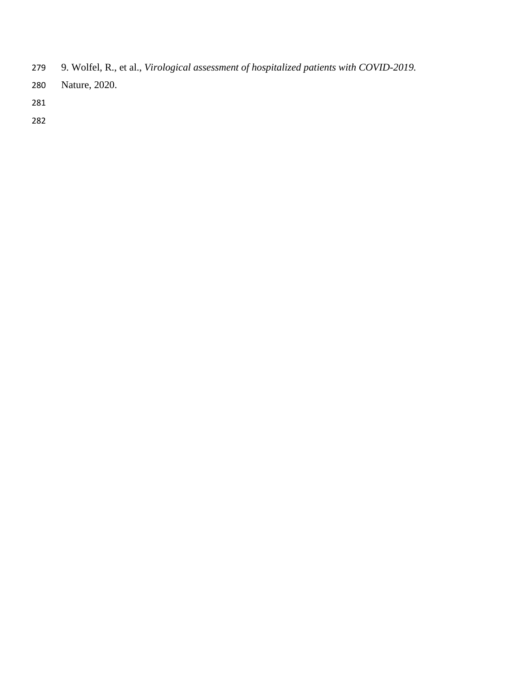- 9. Wolfel, R., et al., *Virological assessment of hospitalized patients with COVID-2019.*
- Nature, 2020.
- 
-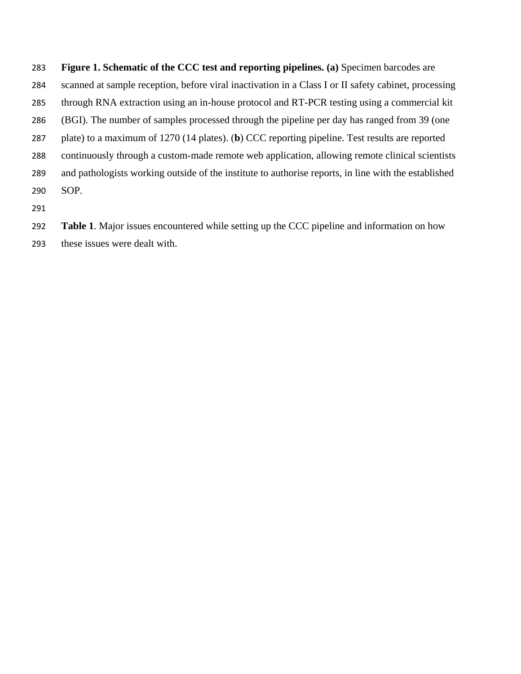**Figure 1. Schematic of the CCC test and reporting pipelines. (a)** Specimen barcodes are scanned at sample reception, before viral inactivation in a Class I or II safety cabinet, processing through RNA extraction using an in-house protocol and RT-PCR testing using a commercial kit (BGI). The number of samples processed through the pipeline per day has ranged from 39 (one plate) to a maximum of 1270 (14 plates). (**b**) CCC reporting pipeline. Test results are reported continuously through a custom-made remote web application, allowing remote clinical scientists and pathologists working outside of the institute to authorise reports, in line with the established SOP.

**Table 1**. Major issues encountered while setting up the CCC pipeline and information on how

these issues were dealt with.